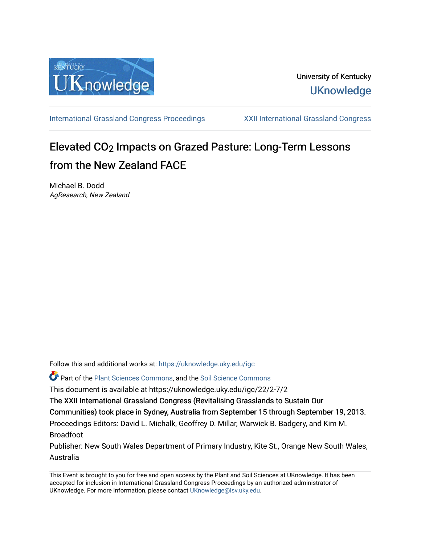

[International Grassland Congress Proceedings](https://uknowledge.uky.edu/igc) [XXII International Grassland Congress](https://uknowledge.uky.edu/igc/22) 

# Elevated CO<sub>2</sub> Impacts on Grazed Pasture: Long-Term Lessons from the New Zealand FACE

Michael B. Dodd AgResearch, New Zealand

Follow this and additional works at: [https://uknowledge.uky.edu/igc](https://uknowledge.uky.edu/igc?utm_source=uknowledge.uky.edu%2Figc%2F22%2F2-7%2F2&utm_medium=PDF&utm_campaign=PDFCoverPages)  Part of the [Plant Sciences Commons](http://network.bepress.com/hgg/discipline/102?utm_source=uknowledge.uky.edu%2Figc%2F22%2F2-7%2F2&utm_medium=PDF&utm_campaign=PDFCoverPages), and the [Soil Science Commons](http://network.bepress.com/hgg/discipline/163?utm_source=uknowledge.uky.edu%2Figc%2F22%2F2-7%2F2&utm_medium=PDF&utm_campaign=PDFCoverPages)  This document is available at https://uknowledge.uky.edu/igc/22/2-7/2 The XXII International Grassland Congress (Revitalising Grasslands to Sustain Our Communities) took place in Sydney, Australia from September 15 through September 19, 2013. Proceedings Editors: David L. Michalk, Geoffrey D. Millar, Warwick B. Badgery, and Kim M. Broadfoot

Publisher: New South Wales Department of Primary Industry, Kite St., Orange New South Wales, Australia

This Event is brought to you for free and open access by the Plant and Soil Sciences at UKnowledge. It has been accepted for inclusion in International Grassland Congress Proceedings by an authorized administrator of UKnowledge. For more information, please contact [UKnowledge@lsv.uky.edu](mailto:UKnowledge@lsv.uky.edu).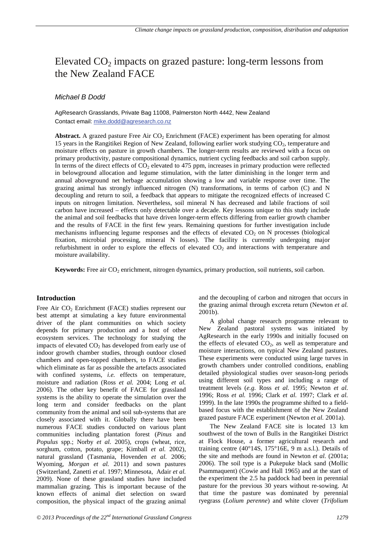# Elevated  $CO<sub>2</sub>$  impacts on grazed pasture: long-term lessons from the New Zealand FACE

# *Michael B Dodd*

AgResearch Grasslands, Private Bag 11008, Palmerston North 4442, New Zealand Contact email: mike.dodd@agresearch.co.nz

Abstract. A grazed pasture Free Air CO<sub>2</sub> Enrichment (FACE) experiment has been operating for almost 15 years in the Rangitikei Region of New Zealand, following earlier work studying CO<sub>2</sub>, temperature and moisture effects on pasture in growth chambers. The longer-term results are reviewed with a focus on primary productivity, pasture compositional dynamics, nutrient cycling feedbacks and soil carbon supply. In terms of the direct effects of  $CO<sub>2</sub>$  elevated to 475 ppm, increases in primary production were reflected in belowground allocation and legume stimulation, with the latter diminishing in the longer term and annual aboveground net herbage accumulation showing a low and variable response over time. The grazing animal has strongly influenced nitrogen (N) transformations, in terms of carbon (C) and N decoupling and return to soil, a feedback that appears to mitigate the recognized effects of increased C inputs on nitrogen limitation. Nevertheless, soil mineral N has decreased and labile fractions of soil carbon have increased – effects only detectable over a decade. Key lessons unique to this study include the animal and soil feedbacks that have driven longer-term effects differing from earlier growth chamber and the results of FACE in the first few years. Remaining questions for further investigation include mechanisms influencing legume responses and the effects of elevated  $CO<sub>2</sub>$  on N processes (biological fixation, microbial processing, mineral N losses). The facility is currently undergoing major refurbishment in order to explore the effects of elevated  $CO<sub>2</sub>$  and interactions with temperature and moisture availability.

**Keywords:** Free air CO<sub>2</sub> enrichment, nitrogen dynamics, primary production, soil nutrients, soil carbon.

## **Introduction**

Free Air  $CO<sub>2</sub>$  Enrichment (FACE) studies represent our best attempt at simulating a key future environmental driver of the plant communities on which society depends for primary production and a host of other ecosystem services. The technology for studying the impacts of elevated  $CO<sub>2</sub>$  has developed from early use of indoor growth chamber studies, through outdoor closed chambers and open-topped chambers, to FACE studies which eliminate as far as possible the artefacts associated with confined systems, *i.e.* effects on temperature, moisture and radiation (Ross *et al.* 2004; Long *et al.* 2006). The other key benefit of FACE for grassland systems is the ability to operate the simulation over the long term and consider feedbacks on the plant community from the animal and soil sub-systems that are closely associated with it. Globally there have been numerous FACE studies conducted on various plant communities including plantation forest (*Pinus* and *Populus* spp.; Norby *et al.* 2005), crops (wheat, rice, sorghum, cotton, potato, grape; Kimball *et al.* 2002), natural grassland (Tasmania, Hovenden *et al.* 2006; Wyoming, *Morgan et al.* 2011) and sown pastures (Switzerland, Zanetti *et al.* 1997; Minnesota, Adair *et al.* 2009). None of these grassland studies have included mammalian grazing. This is important because of the known effects of animal diet selection on sward composition, the physical impact of the grazing animal

and the decoupling of carbon and nitrogen that occurs in the grazing animal through excreta return (Newton *et al.* 2001b).

A global change research programme relevant to New Zealand pastoral systems was initiated by AgResearch in the early 1990s and initially focused on the effects of elevated  $CO<sub>2</sub>$ , as well as temperature and moisture interactions, on typical New Zealand pastures. These experiments were conducted using large turves in growth chambers under controlled conditions, enabling detailed physiological studies over season-long periods using different soil types and including a range of treatment levels (*e.g.* Ross *et al.* 1995; Newton *et al.* 1996; Ross *et al.* 1996; Clark *et al.* 1997; Clark *et al.* 1999). In the late 1990s the programme shifted to a fieldbased focus with the establishment of the New Zealand grazed pasture FACE experiment (Newton *et al.* 2001a).

The New Zealand FACE site is located 13 km southwest of the town of Bulls in the Rangitikei District at Flock House, a former agricultural research and training centre (40°14S, 175°16E, 9 m a.s.l.). Details of the site and methods are found in Newton *et al.* (2001a; 2006). The soil type is a Pukepuke black sand (Mollic Psammaquent) (Cowie and Hall 1965) and at the start of the experiment the 2.5 ha paddock had been in perennial pasture for the previous 30 years without re-sowing. At that time the pasture was dominated by perennial ryegrass (*Lolium perenne*) and white clover (*Trifolium*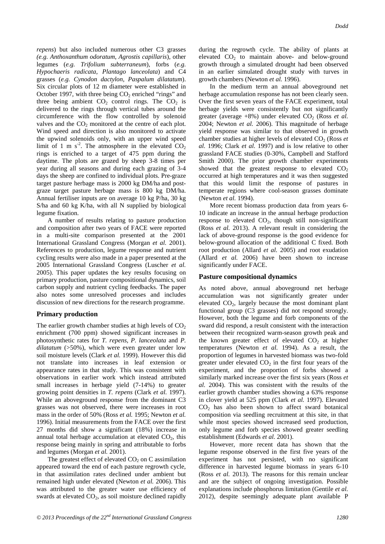*repens*) but also included numerous other C3 grasses *(e.g. Anthoxanthum odoratum*, *Agrostis capillaris*), other legumes (*e.g. Trifolium subterraneum*), forbs (*e.g. Hypochaeris radicata*, *Plantago lanceolata*) and C4 grasses (*e.g. Cynodon dactylon*, *Paspalum dilatatum*). Six circular plots of 12 m diameter were established in October 1997, with three being  $CO<sub>2</sub>$  enriched "rings" and three being ambient  $CO<sub>2</sub>$  control rings. The  $CO<sub>2</sub>$  is delivered to the rings through vertical tubes around the circumference with the flow controlled by solenoid valves and the  $CO<sub>2</sub>$  monitored at the centre of each plot. Wind speed and direction is also monitored to activate the upwind solenoids only, with an upper wind speed limit of 1 m s<sup>-2</sup>. The atmosphere in the elevated  $CO<sub>2</sub>$ rings is enriched to a target of 475 ppm during the daytime. The plots are grazed by sheep 3-8 times per year during all seasons and during each grazing of 3-4 days the sheep are confined to individual plots. Pre-graze target pasture herbage mass is 2000 kg DM/ha and postgraze target pasture herbage mass is 800 kg DM/ha. Annual fertiliser inputs are on average 10 kg P/ha, 30 kg S/ha and 60 kg K/ha, with all N supplied by biological legume fixation.

A number of results relating to pasture production and composition after two years of FACE were reported in a multi-site comparison presented at the 2001 International Grassland Congress (Morgan *et al.* 2001). References to production, legume response and nutrient cycling results were also made in a paper presented at the 2005 International Grassland Congress (Luscher *et al.* 2005). This paper updates the key results focusing on primary production, pasture compositional dynamics, soil carbon supply and nutrient cycling feedbacks. The paper also notes some unresolved processes and includes discussion of new directions for the research programme.

#### **Primary production**

The earlier growth chamber studies at high levels of  $CO<sub>2</sub>$ enrichment (700 ppm) showed significant increases in photosynthetic rates for *T. repens*, *P. lanceolata* and *P. dilatatum* (>50%), which were even greater under low soil moisture levels (Clark *et al.* 1999). However this did not translate into increases in leaf extension or appearance rates in that study. This was consistent with observations in earlier work which instead attributed small increases in herbage yield (7-14%) to greater growing point densities in *T. repens* (Clark *et al.* 1997). While an aboveground response from the dominant C3 grasses was not observed, there were increases in root mass in the order of 50% (Ross *et al.* 1995; Newton *et al.* 1996). Initial measurements from the FACE over the first 27 months did show a significant (18%) increase in annual total herbage accumulation at elevated  $CO<sub>2</sub>$ , this response being mainly in spring and attributable to forbs and legumes (Morgan *et al.* 2001).

The greatest effect of elevated  $CO<sub>2</sub>$  on C assimilation appeared toward the end of each pasture regrowth cycle, in that assimilation rates declined under ambient but remained high under elevated (Newton *et al.* 2006). This was attributed to the greater water use efficiency of swards at elevated  $CO<sub>2</sub>$ , as soil moisture declined rapidly

during the regrowth cycle. The ability of plants at elevated  $CO<sub>2</sub>$  to maintain above- and below-ground growth through a simulated drought had been observed in an earlier simulated drought study with turves in growth chambers (Newton *et al.* 1996).

In the medium term an annual aboveground net herbage accumulation response has not been clearly seen. Over the first seven years of the FACE experiment, total herbage yields were consistently but not significantly greater (average  $+8\%$ ) under elevated  $CO<sub>2</sub>$  (Ross *et al.*) 2004; Newton *et al.* 2006). This magnitude of herbage yield response was similar to that observed in growth chamber studies at higher levels of elevated CO<sub>2</sub> (Ross *et al.* 1996; Clark *et al.* 1997) and is low relative to other grassland FACE studies (0-30%, Campbell and Stafford Smith 2000). The prior growth chamber experiments showed that the greatest response to elevated  $CO<sub>2</sub>$ occurred at high temperatures and it was then suggested that this would limit the response of pastures in temperate regions where cool-season grasses dominate (Newton *et al.* 1994).

More recent biomass production data from years 6- 10 indicate an increase in the annual herbage production response to elevated  $CO<sub>2</sub>$ , though still non-significant (Ross *et al.* 2013). A relevant result in considering the lack of above-ground response is the good evidence for below-ground allocation of the additional C fixed. Both root production (Allard *et al.* 2005) and root exudation (Allard *et al.* 2006) have been shown to increase significantly under FACE.

#### **Pasture compositional dynamics**

As noted above, annual aboveground net herbage accumulation was not significantly greater under elevated  $CO<sub>2</sub>$ , largely because the most dominant plant functional group (C3 grasses) did not respond strongly. However, both the legume and forb components of the sward did respond, a result consistent with the interaction between their recognized warm-season growth peak and the known greater effect of elevated  $CO<sub>2</sub>$  at higher temperatures (Newton *et al.* 1994). As a result, the proportion of legumes in harvested biomass was two-fold greater under elevated  $CO<sub>2</sub>$  in the first four years of the experiment, and the proportion of forbs showed a similarly marked increase over the first six years (Ross *et al.* 2004). This was consistent with the results of the earlier growth chamber studies showing a 63% response in clover yield at 525 ppm (Clark *et al.* 1997). Elevated  $CO<sub>2</sub>$  has also been shown to affect sward botanical composition via seedling recruitment at this site, in that while most species showed increased seed production, only legume and forb species showed greater seedling establishment (Edwards *et al.* 2001).

However, more recent data has shown that the legume response observed in the first five years of the experiment has not persisted, with no significant difference in harvested legume biomass in years 6-10 (Ross *et al.* 2013). The reasons for this remain unclear and are the subject of ongoing investigation. Possible explanations include phosphorus limitation (Gentile *et al.* 2012), despite seemingly adequate plant available P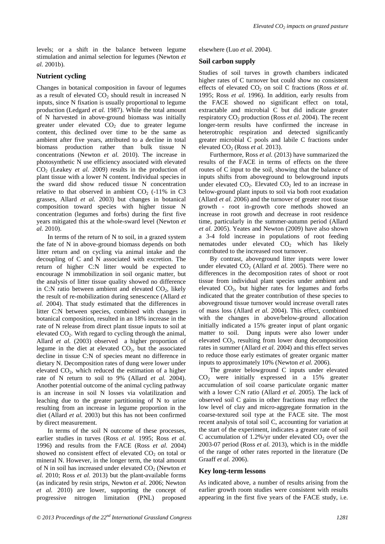levels; or a shift in the balance between legume stimulation and animal selection for legumes (Newton *et al.* 2001b).

# **Nutrient cycling**

Changes in botanical composition in favour of legumes as a result of elevated  $CO<sub>2</sub>$  should result in increased N inputs, since N fixation is usually proportional to legume production (Ledgard *et al.* 1987). While the total amount of N harvested in above-ground biomass was initially greater under elevated  $CO<sub>2</sub>$  due to greater legume content, this declined over time to be the same as ambient after five years, attributed to a decline in total biomass production rather than bulk tissue N concentrations (Newton *et al.* 2010). The increase in photosynthetic N use efficiency associated with elevated CO<sub>2</sub> (Leakey *et al.* 2009) results in the production of plant tissue with a lower N content. Individual species in the sward did show reduced tissue N concentration relative to that observed in ambient  $CO<sub>2</sub>$  (-11% in C3) grasses, Allard *et al.* 2003) but changes in botanical composition toward species with higher tissue N concentration (legumes and forbs) during the first five years mitigated this at the whole-sward level (Newton *et al.* 2010).

In terms of the return of N to soil, in a grazed system the fate of N in above-ground biomass depends on both litter return and on cycling via animal intake and the decoupling of C and N associated with excretion. The return of higher C:N litter would be expected to encourage N immobilization in soil organic matter, but the analysis of litter tissue quality showed no difference in C:N ratio between ambient and elevated  $CO<sub>2</sub>$ , likely the result of re-mobilization during senescence (Allard *et al.* 2004). That study estimated that the differences in litter C:N between species, combined with changes in botanical composition, resulted in an 18% increase in the rate of N release from direct plant tissue inputs to soil at elevated  $CO<sub>2</sub>$ . With regard to cycling through the animal, Allard *et al.* (2003) observed a higher proportion of legume in the diet at elevated  $CO<sub>2</sub>$ , but the associated decline in tissue C:N of species meant no difference in dietary N. Decomposition rates of dung were lower under elevated  $CO<sub>2</sub>$ , which reduced the estimation of a higher rate of N return to soil to 9% (Allard *et al.* 2004). Another potential outcome of the animal cycling pathway is an increase in soil N losses via volatilization and leaching due to the greater partitioning of N to urine resulting from an increase in legume proportion in the diet (Allard *et al.* 2003) but this has not been confirmed by direct measurement.

In terms of the soil N outcome of these processes, earlier studies in turves (Ross *et al.* 1995; Ross *et al.* 1996) and results from the FACE (Ross *et al.* 2004) showed no consistent effect of elevated  $CO<sub>2</sub>$  on total or mineral N. However, in the longer term, the total amount of N in soil has increased under elevated CO<sub>2</sub> (Newton *et al.* 2010; Ross *et al.* 2013) but the plant-available forms (as indicated by resin strips, Newton *et al.* 2006; Newton *et al.* 2010) are lower, supporting the concept of progressive nitrogen limitation (PNL) proposed

elsewhere (Luo *et al.* 2004).

# **Soil carbon supply**

Studies of soil turves in growth chambers indicated higher rates of C turnover but could show no consistent effects of elevated CO<sub>2</sub> on soil C fractions (Ross *et al.*) 1995; Ross *et al.* 1996). In addition, early results from the FACE showed no significant effect on total, extractable and microbial C but did indicate greater respiratory CO<sub>2</sub> production (Ross *et al.* 2004). The recent longer-term results have confirmed the increase in heterotrophic respiration and detected significantly greater microbial C pools and labile C fractions under elevated  $CO<sub>2</sub>$  (Ross *et al.* 2013).

Furthermore, Ross *et al.* (2013) have summarized the results of the FACE in terms of effects on the three routes of C input to the soil, showing that the balance of inputs shifts from aboveground to belowground inputs under elevated  $CO<sub>2</sub>$ . Elevated  $CO<sub>2</sub>$  led to an increase in below-ground plant inputs to soil via both root exudation (Allard *et al.* 2006) and the turnover of greater root tissue growth - root in-growth core methods showed an increase in root growth and decrease in root residence time, particularly in the summer-autumn period (Allard *et al.* 2005). Yeates and Newton (2009) have also shown a 3-4 fold increase in populations of root feeding nematodes under elevated  $CO<sub>2</sub>$  which has likely contributed to the increased root turnover.

By contrast, aboveground litter inputs were lower under elevated  $CO<sub>2</sub>$  (Allard *et al.* 2005). There were no differences in the decomposition rates of shoot or root tissue from individual plant species under ambient and elevated  $CO<sub>2</sub>$ , but higher rates for legumes and forbs indicated that the greater contribution of these species to aboveground tissue turnover would increase overall rates of mass loss (Allard *et al.* 2004). This effect, combined with the changes in above/below-ground allocation initially indicated a 15% greater input of plant organic matter to soil. Dung inputs were also lower under elevated  $CO<sub>2</sub>$ , resulting from lower dung decomposition rates in summer (Allard *et al.* 2004) and this effect serves to reduce those early estimates of greater organic matter inputs to approximately 10% (Newton *et al.* 2006).

The greater belowground C inputs under elevated CO2 were initially expressed in a 15% greater accumulation of soil coarse particulate organic matter with a lower C:N ratio (Allard *et al.* 2005). The lack of observed soil C gains in other fractions may reflect the low level of clay and micro-aggregate formation in the coarse-textured soil type at the FACE site. The most recent analysis of total soil C, accounting for variation at the start of the experiment, indicates a greater rate of soil C accumulation of 1.2%/yr under elevated  $CO<sub>2</sub>$  over the 2003-07 period (Ross *et al.* 2013), which is in the middle of the range of other rates reported in the literature (De Graaff *et al.* 2006).

## **Key long-term lessons**

As indicated above, a number of results arising from the earlier growth room studies were consistent with results appearing in the first five years of the FACE study, i.e.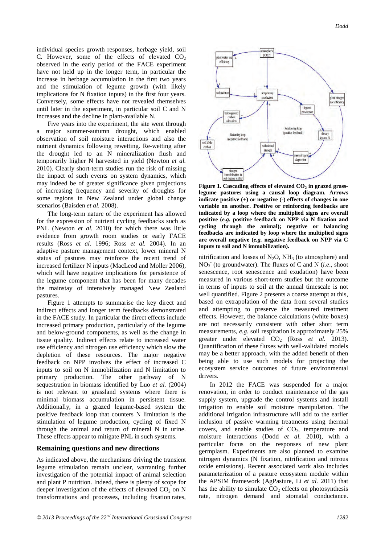individual species growth responses, herbage yield, soil C. However, some of the effects of elevated  $CO<sub>2</sub>$ observed in the early period of the FACE experiment have not held up in the longer term, in particular the increase in herbage accumulation in the first two years and the stimulation of legume growth (with likely implications for N fixation inputs) in the first four years. Conversely, some effects have not revealed themselves until later in the experiment, in particular soil C and N increases and the decline in plant-available N.

Five years into the experiment, the site went through a major summer-autumn drought, which enabled observation of soil moisture interactions and also the nutrient dynamics following rewetting. Re-wetting after the drought led to an N mineralization flush and temporarily higher N harvested in yield (Newton *et al.* 2010). Clearly short-term studies run the risk of missing the impact of such events on system dynamics, which may indeed be of greater significance given projections of increasing frequency and severity of droughts for some regions in New Zealand under global change scenarios (Baisden *et al.* 2008).

The long-term nature of the experiment has allowed for the expression of nutrient cycling feedbacks such as PNL (Newton *et al.* 2010) for which there was little evidence from growth room studies or early FACE results (Ross *et al.* 1996; Ross *et al.* 2004). In an adaptive pasture management context, lower mineral N status of pastures may reinforce the recent trend of increased fertilizer N inputs (MacLeod and Moller 2006), which will have negative implications for persistence of the legume component that has been for many decades the mainstay of intensively managed New Zealand pastures.

Figure 1 attempts to summarise the key direct and indirect effects and longer term feedbacks demonstrated in the FACE study. In particular the direct effects include increased primary production, particularly of the legume and below-ground components, as well as the change in tissue quality. Indirect effects relate to increased water use efficiency and nitrogen use efficiency which slow the depletion of these resources. The major negative feedback on NPP involves the effect of increased C inputs to soil on N immobilization and N limitation to primary production. The other pathway of N sequestration in biomass identified by Luo *et al.* (2004) is not relevant to grassland systems where there is minimal biomass accumulation in persistent tissue. Additionally, in a grazed legume-based system the positive feedback loop that counters N limitation is the stimulation of legume production, cycling of fixed N through the animal and return of mineral N in urine. These effects appear to mitigate PNL in such systems.

#### **Remaining questions and new directions**

As indicated above, the mechanisms driving the transient legume stimulation remain unclear, warranting further investigation of the potential impact of animal selection and plant P nutrition. Indeed, there is plenty of scope for deeper investigation of the effects of elevated  $CO<sub>2</sub>$  on N transformations and processes, including fixation rates,



Figure 1. Cascading effects of elevated CO<sub>2</sub> in grazed grass**legume pastures using a causal loop diagram. Arrows indicate positive (+) or negative (-) effects of changes in one variable on another. Positive or reinforcing feedbacks are indicated by a loop where the multiplied signs are overall positive (***e.g.* **positive feedback on NPP via N fixation and cycling through the animal); negative or balancing feedbacks are indicated by loop where the multiplied signs are overall negative (***e.g.* **negative feedback on NPP via C inputs to soil and N immobilization).**

nitrification and losses of  $N_2O$ ,  $NH_3$  (to atmosphere) and NO3 - (to groundwater). The fluxes of C and N (*i.e*., shoot senescence, root senescence and exudation) have been measured in various short-term studies but the outcome in terms of inputs to soil at the annual timescale is not well quantified. Figure 2 presents a coarse attempt at this, based on extrapolation of the data from several studies and attempting to preserve the measured treatment effects. However, the balance calculations (white boxes) are not necessarily consistent with other short term measurements, *e.g.* soil respiration is approximately 25% greater under elevated CO<sub>2</sub> (Ross *et al.* 2013). Quantification of these fluxes with well-validated models may be a better approach, with the added benefit of then being able to use such models for projecting the ecosystem service outcomes of future environmental drivers.

In 2012 the FACE was suspended for a major renovation, in order to conduct maintenance of the gas supply system, upgrade the control systems and install irrigation to enable soil moisture manipulation. The additional irrigation infrastructure will add to the earlier inclusion of passive warming treatments using thermal covers, and enable studies of  $CO<sub>2</sub>$ , temperature and moisture interactions (Dodd *et al.* 2010), with a particular focus on the responses of new plant germplasm. Experiments are also planned to examine nitrogen dynamics (N fixation, nitrification and nitrous oxide emissions). Recent associated work also includes parameterization of a pasture ecosystem module within the APSIM framework (AgPasture, Li *et al.* 2011) that has the ability to simulate  $CO<sub>2</sub>$  effects on photosynthesis rate, nitrogen demand and stomatal conductance.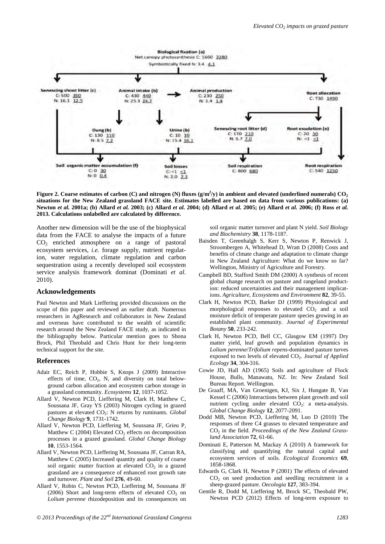

Figure 2. Coarse estimates of carbon (C) and nitrogen (N) fluxes (g/m<sup>2</sup>/y) in ambient and elevated (underlined numerals)  $\rm CO_2$ **situations for the New Zealand grassland FACE site. Estimates labelled are based on data from various publications: (a) Newton** *et al.* **2001a; (b) Allard** *et al.* **2003; (c) Allard** *et al.* **2004; (d) Allard** *et al.* **2005; (e) Allard** *et al.* **2006; (f) Ross** *et al.* **2013. Calculations unlabelled are calculated by difference.** 

Another new dimension will be the use of the biophysical data from the FACE to analyse the impacts of a future  $CO<sub>2</sub>$  enriched atmosphere on a range of pastoral ecosystem services, *i.e.* forage supply, nutrient regulation, water regulation, climate regulation and carbon sequestration using a recently developed soil ecosystem service analysis framework dominat (Dominati *et al.* 2010).

#### **Acknowledgements**

Paul Newton and Mark Lieffering provided discussions on the scope of this paper and reviewed an earlier draft. Numerous researchers in AgResearch and collaborators in New Zealand and overseas have contributed to the wealth of scientific research around the New Zealand FACE study, as indicated in the bibliography below. Particular mention goes to Shona Brock, Phil Theobald and Chris Hunt for their long-term technical support for the site.

#### **References**

- Adair EC, Reich P, Hobbie S, Knops J (2009) Interactive effects of time,  $CO<sub>2</sub>$ , N, and diversity on total belowground carbon allocation and ecosystem carbon storage in a grassland community. *Ecosystems* **12**, 1037-1052.
- Allard V, Newton PCD, Lieffering M, Clark H, Matthew C, Soussana JF, Gray YS (2003) Nitrogen cycling in grazed pastures at elevated CO2: N returns by ruminants. *Global Change Biology* **9**, 1731-1742.
- Allard V, Newton PCD, Lieffering M, Soussana JF, Grieu P, Matthew C (2004) Elevated  $CO<sub>2</sub>$  effects on decomposition processes in a grazed grassland. *Global Change Biology* **10**, 1553-1564.
- Allard V, Newton PCD, Lieffering M, Soussana JF, Carran RA, Matthew C (2005) Increased quantity and quality of coarse soil organic matter fraction at elevated  $CO<sub>2</sub>$  in a grazed grassland are a consequence of enhanced root growth rate and turnover. *Plant and Soil* **276**, 49-60.
- Allard V, Robin C, Newton PCD, Lieffering M, Soussana JF (2006) Short and long-term effects of elevated  $CO<sub>2</sub>$  on *Lolium perenne* rhizodeposition and its consequences on

soil organic matter turnover and plant N yield. *Soil Biology and Biochemistry* **38**, 1178-1187.

- Baisden T, Greenhalgh S, Kerr S, Newton P, Renwick J, Stroombergen A, Whitehead D, Wratt D (2008) Costs and benefits of clmate change and adaptation to climate change in New Zealand Agriculture: What do we know so far? Wellington, Ministry of Agriculture and Forestry.
- Campbell BD, Stafford Smith DM (2000) A synthesis of recent global change research on pasture and rangeland production: reduced uncertainties and their management implications. *Agriculture, Ecosystems and Environment* **82**, 39-55.
- Clark H, Newton PCD, Barker DJ (1999) Physiological and morphological responses to elevated  $CO<sub>2</sub>$  and a soil moisture deficit of temperate pasture species growing in an established plant community. *Journal of Experimental Botany* **50**, 233-242.
- Clark H, Newton PCD, Bell CC, Glasgow EM (1997) Dry matter yield, leaf growth and population dynamics in *Lolium perenne*/*Trifolium repens*-dominated pasture turves exposed to two levels of elevated CO<sub>2</sub>. *Journal of Applied Ecology* **34**, 304-316.
- Cowie JD, Hall AD (1965) Soils and agriculture of Flock House, Bulls, Manawatu, NZ. In: New Zealand Soil Bureau Report. Wellington.
- De Graaff, MA, Van Groenigen, KJ, Six J, Hungate B, Van Kessel C (2006) Interactions between plant growth and soil nutrient cycling under elevated  $CO<sub>2</sub>$ : a meta-analysis. *Global Change Biology* **12**, 2077-2091.
- Dodd MB, Newton PCD, Lieffering M, Luo D (2010) The responses of three C4 grasses to elevated temperature and CO2 in the field. *Proceedings of the New Zealand Grassland Association* **72**, 61-66.
- Dominati E, Patterson M, Mackay A (2010) A framework for classifying and quantifying the natural capital and ecosystem services of soils. *Ecological Economics* **69**, 1858-1868.
- Edwards G, Clark H, Newton P (2001) The effects of elevated  $CO<sub>2</sub>$  on seed production and seedling recruitment in a sheep-grazed pasture. *Oecologia* **127**, 383-394.
- Gentile R, Dodd M, Lieffering M, Brock SC, Theobald PW, Newton PCD (2012) Effects of long-term exposure to